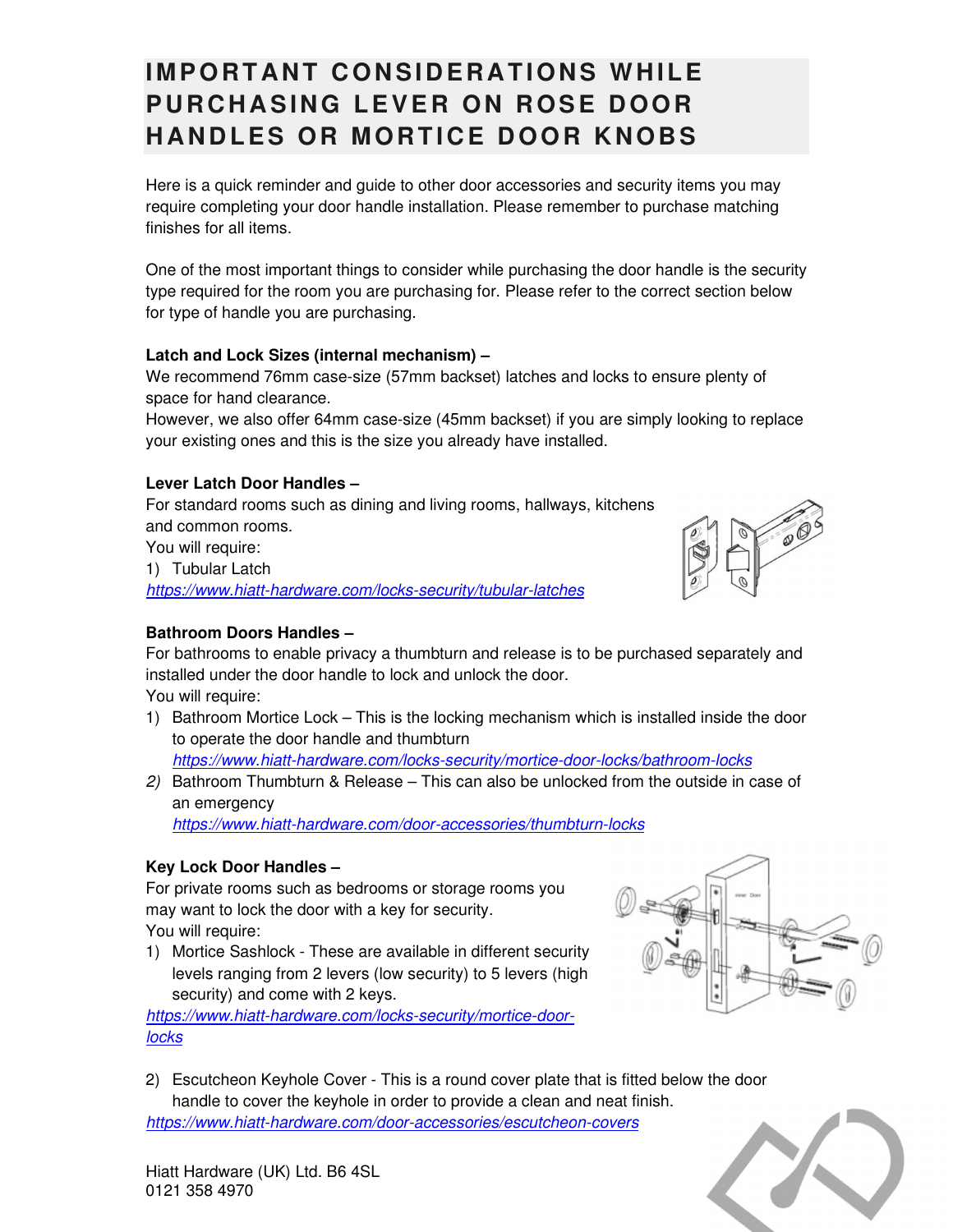# **IMPORTANT CONSIDERATIONS WHILE PURCHASING LEVER ON ROSE DOOR HANDLES OR MORTICE DOOR KNOBS**

Here is a quick reminder and guide to other door accessories and security items you may require completing your door handle installation. Please remember to purchase matching finishes for all items.

One of the most important things to consider while purchasing the door handle is the security type required for the room you are purchasing for. Please refer to the correct section below for type of handle you are purchasing.

#### **Latch and Lock Sizes (internal mechanism) –**

We recommend 76mm case-size (57mm backset) latches and locks to ensure plenty of space for hand clearance.

However, we also offer 64mm case-size (45mm backset) if you are simply looking to replace your existing ones and this is the size you already have installed.

### **Lever Latch Door Handles –**

For standard rooms such as dining and living rooms, hallways, kitchens and common rooms. You will require:

1) Tubular Latch

*https://www.hiatt-hardware.com/locks-security/tubular-latches*

### **Bathroom Doors Handles –**

For bathrooms to enable privacy a thumbturn and release is to be purchased separately and installed under the door handle to lock and unlock the door. You will require:

1) Bathroom Mortice Lock – This is the locking mechanism which is installed inside the door to operate the door handle and thumbturn

*https://www.hiatt-hardware.com/locks-security/mortice-door-locks/bathroom-locks*

*2)* Bathroom Thumbturn & Release – This can also be unlocked from the outside in case of an emergency

*https://www.hiatt-hardware.com/door-accessories/thumbturn-locks*

#### **Key Lock Door Handles –**

For private rooms such as bedrooms or storage rooms you may want to lock the door with a key for security.

You will require:

1) Mortice Sashlock - These are available in different security levels ranging from 2 levers (low security) to 5 levers (high security) and come with 2 keys.

*https://www.hiatt-hardware.com/locks-security/mortice-doorlocks* 

2) Escutcheon Keyhole Cover - This is a round cover plate that is fitted below the door handle to cover the keyhole in order to provide a clean and neat finish. *https://www.hiatt-hardware.com/door-accessories/escutcheon-covers*